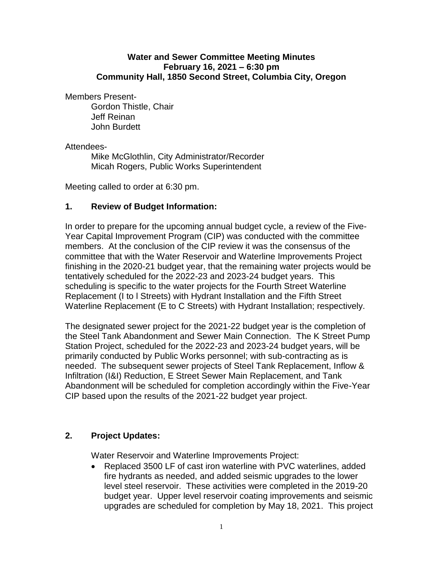### **Water and Sewer Committee Meeting Minutes February 16, 2021 – 6:30 pm Community Hall, 1850 Second Street, Columbia City, Oregon**

Members Present-

Gordon Thistle, Chair Jeff Reinan John Burdett

### Attendees-

Mike McGlothlin, City Administrator/Recorder Micah Rogers, Public Works Superintendent

Meeting called to order at 6:30 pm.

## **1. Review of Budget Information:**

In order to prepare for the upcoming annual budget cycle, a review of the Five-Year Capital Improvement Program (CIP) was conducted with the committee members. At the conclusion of the CIP review it was the consensus of the committee that with the Water Reservoir and Waterline Improvements Project finishing in the 2020-21 budget year, that the remaining water projects would be tentatively scheduled for the 2022-23 and 2023-24 budget years. This scheduling is specific to the water projects for the Fourth Street Waterline Replacement (I to l Streets) with Hydrant Installation and the Fifth Street Waterline Replacement (E to C Streets) with Hydrant Installation; respectively.

The designated sewer project for the 2021-22 budget year is the completion of the Steel Tank Abandonment and Sewer Main Connection. The K Street Pump Station Project, scheduled for the 2022-23 and 2023-24 budget years, will be primarily conducted by Public Works personnel; with sub-contracting as is needed. The subsequent sewer projects of Steel Tank Replacement, Inflow & Infiltration (I&I) Reduction, E Street Sewer Main Replacement, and Tank Abandonment will be scheduled for completion accordingly within the Five-Year CIP based upon the results of the 2021-22 budget year project.

### **2. Project Updates:**

Water Reservoir and Waterline Improvements Project:

 Replaced 3500 LF of cast iron waterline with PVC waterlines, added fire hydrants as needed, and added seismic upgrades to the lower level steel reservoir. These activities were completed in the 2019-20 budget year. Upper level reservoir coating improvements and seismic upgrades are scheduled for completion by May 18, 2021. This project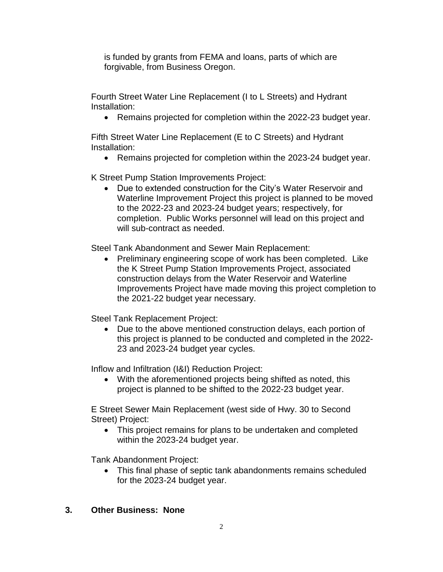is funded by grants from FEMA and loans, parts of which are forgivable, from Business Oregon.

Fourth Street Water Line Replacement (I to L Streets) and Hydrant Installation:

• Remains projected for completion within the 2022-23 budget year.

Fifth Street Water Line Replacement (E to C Streets) and Hydrant Installation:

Remains projected for completion within the 2023-24 budget year.

K Street Pump Station Improvements Project:

 Due to extended construction for the City's Water Reservoir and Waterline Improvement Project this project is planned to be moved to the 2022-23 and 2023-24 budget years; respectively, for completion. Public Works personnel will lead on this project and will sub-contract as needed.

Steel Tank Abandonment and Sewer Main Replacement:

• Preliminary engineering scope of work has been completed. Like the K Street Pump Station Improvements Project, associated construction delays from the Water Reservoir and Waterline Improvements Project have made moving this project completion to the 2021-22 budget year necessary.

Steel Tank Replacement Project:

 Due to the above mentioned construction delays, each portion of this project is planned to be conducted and completed in the 2022- 23 and 2023-24 budget year cycles.

Inflow and Infiltration (I&I) Reduction Project:

 With the aforementioned projects being shifted as noted, this project is planned to be shifted to the 2022-23 budget year.

E Street Sewer Main Replacement (west side of Hwy. 30 to Second Street) Project:

• This project remains for plans to be undertaken and completed within the 2023-24 budget year.

Tank Abandonment Project:

 This final phase of septic tank abandonments remains scheduled for the 2023-24 budget year.

# **3. Other Business: None**